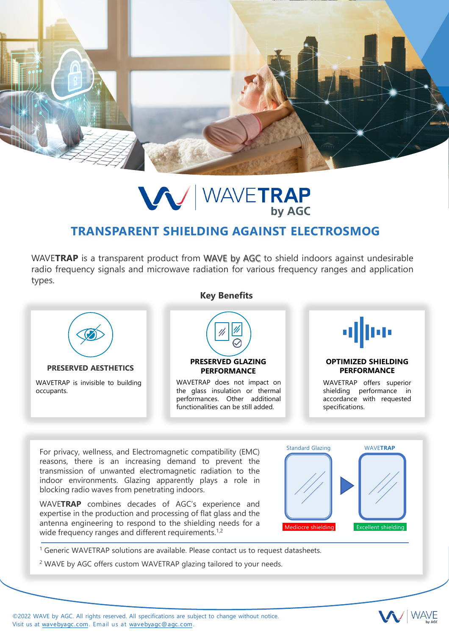

## **VV** WAVETRAP

## **TRANSPARENT SHIELDING AGAINST ELECTROSMOG**

WAVE**TRAP** is a transparent product from WAVE by AGC to shield indoors against undesirable radio frequency signals and microwave radiation for various frequency ranges and application types.



<sup>1</sup> Generic WAVETRAP solutions are available. Please contact us to request datasheets.

<sup>2</sup> WAVE by AGC offers custom WAVETRAP glazing tailored to your needs.

©2022 WAVE by AGC. All rights reserved. All specifications are subject to change without notice. Visit us at [wavebyagc.com](https://wavebyagc.com/en/waveattoch/). Email us at [wavebyagc@agc.com](mailto:wavebyagc@agc.com).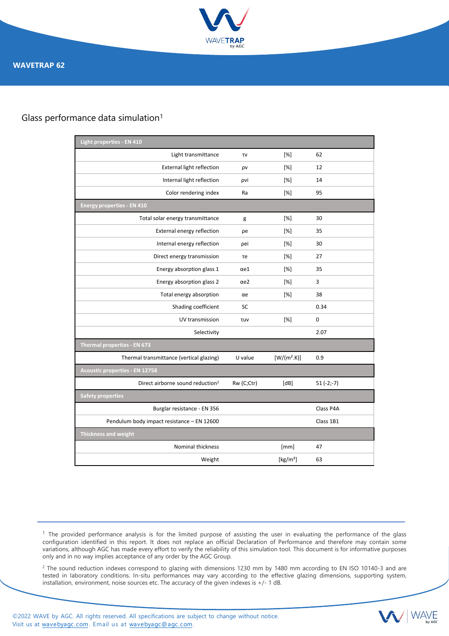

## Glass performance data simulation<sup>1</sup>

| Light properties - EN 410                    |             |               |             |
|----------------------------------------------|-------------|---------------|-------------|
| Light transmittance                          | τv          | [%]           | 62          |
| <b>External light reflection</b>             | ρv          | [%]           | 12          |
| Internal light reflection                    | ρvi         | [%]           | 14          |
| Color rendering index                        | Ra          | [%]           | 95          |
| <b>Energy properties - EN 410</b>            |             |               |             |
| Total solar energy transmittance             | g           | [%]           | 30          |
| External energy reflection                   | ρe          | [%]           | 35          |
| Internal energy reflection                   | pei         | [%]           | 30          |
| Direct energy transmission                   | τe          | [%]           | 27          |
| Energy absorption glass 1                    | $\alpha$ e1 | [%]           | 35          |
| Energy absorption glass 2                    | $\alpha$ e2 | [%]           | 3           |
| Total energy absorption                      | αe          | [%]           | 38          |
| Shading coefficient                          | SC          |               | 0.34        |
| UV transmission                              | <b>TUV</b>  | [%]           | $\mathbf 0$ |
| Selectivity                                  |             |               | 2.07        |
| Thermal properties - EN 673                  |             |               |             |
| Thermal transmittance (vertical glazing)     | U value     | $[W/(m^2.K)]$ | 0.9         |
| <b>Acoustic properties - EN 12758</b>        |             |               |             |
| Direct airborne sound reduction <sup>2</sup> | Rw (C;Ctr)  | [dB]          | $51(-2,-7)$ |
| <b>Safety properties</b>                     |             |               |             |
| Burglar resistance - EN 356                  |             |               | Class P4A   |
| Pendulum body impact resistance - EN 12600   |             |               | Class 1B1   |
| Thickness and weight                         |             |               |             |
| Nominal thickness                            |             | [mm]          | 47          |
| Weight                                       |             | [ $kg/m2$ ]   | 63          |

 $<sup>1</sup>$  The provided performance analysis is for the limited purpose of assisting the user in evaluating the performance of the glass</sup> configuration identified in this report. It does not replace an official Declaration of Performance and therefore may contain some variations, although AGC has made every effort to verify the reliability of this simulation tool. This document is for informative purposes only and in no way implies acceptance of any order by the AGC Group.

<sup>2</sup> The sound reduction indexes correspond to glazing with dimensions 1230 mm by 1480 mm according to EN ISO 10140-3 and are tested in laboratory conditions. In-situ performances may vary according to the effective glazing dimensions, supporting system, installation, environment, noise sources etc. The accuracy of the given indexes is +/- 1 dB.